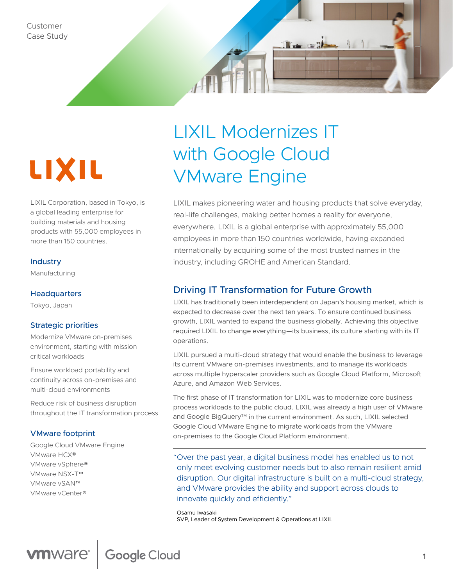

LIXIL Corporation, based in Tokyo, is a global leading enterprise for building materials and housing products with 55,000 employees in more than 150 countries.

#### **Industry**

Manufacturing

#### **Headquarters**

Tokyo, Japan

#### Strategic priorities

Modernize VMware on-premises environment, starting with mission critical workloads

Ensure workload portability and continuity across on-premises and multi-cloud environments

Reduce risk of business disruption throughout the IT transformation process

#### VMware footprint

Google Cloud VMware Engine VMware HCX® VMware vSphere® VMware NSX-T™ VMware vSAN™ VMware vCenter®

# LIXIL Modernizes IT with Google Cloud VMware Engine

LIXIL makes pioneering water and housing products that solve everyday, real-life challenges, making better homes a reality for everyone, everywhere. LIXIL is a global enterprise with approximately 55,000 employees in more than 150 countries worldwide, having expanded internationally by acquiring some of the most trusted names in the industry, including GROHE and American Standard.

 $\mathbf{I}$  or  $\mathbf{I}$ 

## Driving IT Transformation for Future Growth

LIXIL has traditionally been interdependent on Japan's housing market, which is expected to decrease over the next ten years. To ensure continued business growth, LIXIL wanted to expand the business globally. Achieving this objective required LIXIL to change everything—its business, its culture starting with its IT operations.

LIXIL pursued a multi-cloud strategy that would enable the business to leverage its current VMware on-premises investments, and to manage its workloads across multiple hyperscaler providers such as Google Cloud Platform, Microsoft Azure, and Amazon Web Services.

The first phase of IT transformation for LIXIL was to modernize core business process workloads to the public cloud. LIXIL was already a high user of VMware and Google BigQuery™ in the current environment. As such, LIXIL selected Google Cloud VMware Engine to migrate workloads from the VMware on-premises to the Google Cloud Platform environment.

"Over the past year, a digital business model has enabled us to not only meet evolving customer needs but to also remain resilient amid disruption. Our digital infrastructure is built on a multi-cloud strategy, and VMware provides the ability and support across clouds to innovate quickly and efficiently."

Osamu Iwasaki SVP, Leader of System Development & Operations at LIXIL